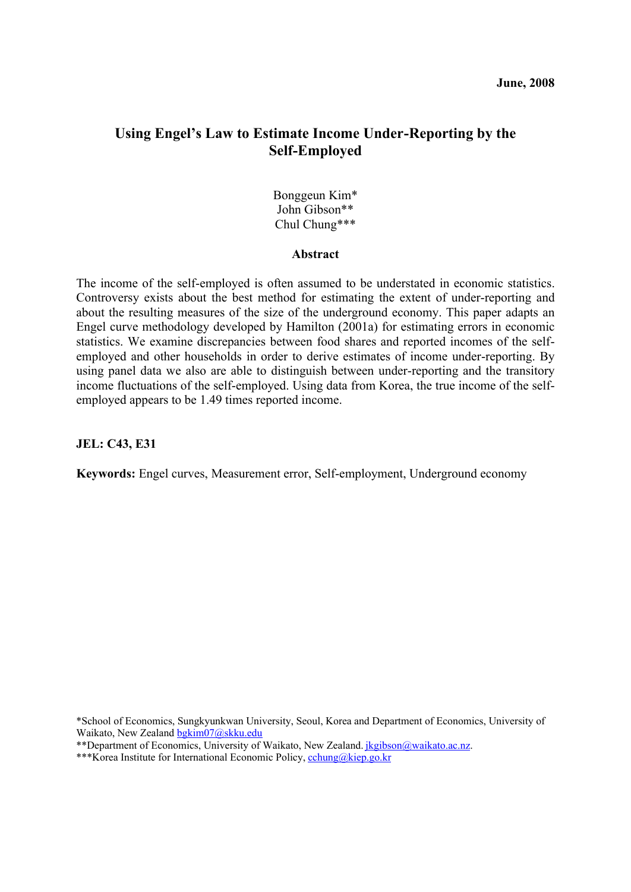# **Using Engel's Law to Estimate Income Under-Reporting by the Self-Employed**

Bonggeun Kim\* John Gibson\*\* Chul Chung\*\*\*

#### **Abstract**

The income of the self-employed is often assumed to be understated in economic statistics. Controversy exists about the best method for estimating the extent of under-reporting and about the resulting measures of the size of the underground economy. This paper adapts an Engel curve methodology developed by Hamilton (2001a) for estimating errors in economic statistics. We examine discrepancies between food shares and reported incomes of the selfemployed and other households in order to derive estimates of income under-reporting. By using panel data we also are able to distinguish between under-reporting and the transitory income fluctuations of the self-employed. Using data from Korea, the true income of the selfemployed appears to be 1.49 times reported income.

### **JEL: C43, E31**

**Keywords:** Engel curves, Measurement error, Self-employment, Underground economy

\*School of Economics, Sungkyunkwan University, Seoul, Korea and Department of Economics, University of Waikato, New Zealand bgkim07@skku.edu

\*\*Department of Economics, University of Waikato, New Zealand. jkgibson@waikato.ac.nz.

<sup>\*\*\*</sup>Korea Institute for International Economic Policy, cchung@kiep.go.kr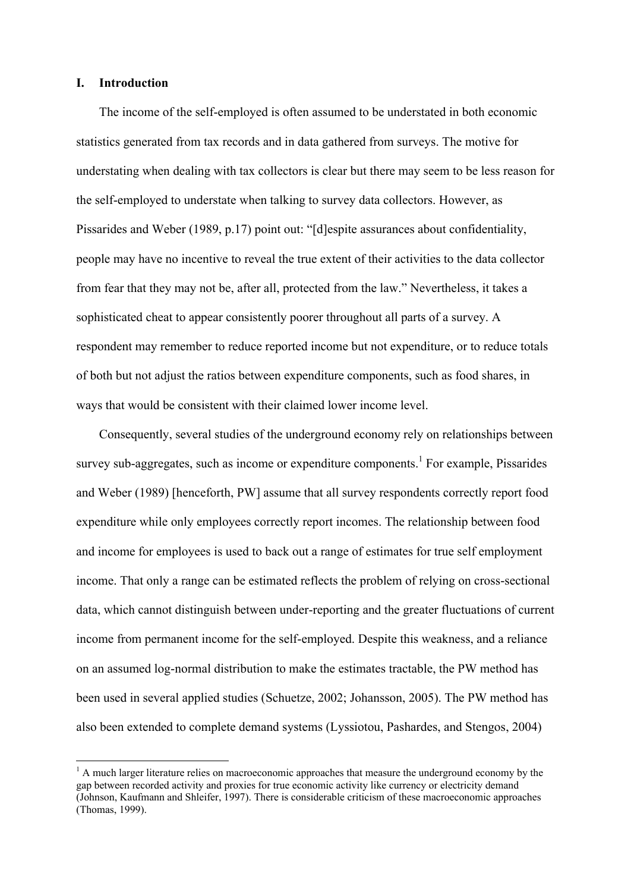## **I. Introduction**

 $\overline{a}$ 

The income of the self-employed is often assumed to be understated in both economic statistics generated from tax records and in data gathered from surveys. The motive for understating when dealing with tax collectors is clear but there may seem to be less reason for the self-employed to understate when talking to survey data collectors. However, as Pissarides and Weber (1989, p.17) point out: "[d]espite assurances about confidentiality, people may have no incentive to reveal the true extent of their activities to the data collector from fear that they may not be, after all, protected from the law." Nevertheless, it takes a sophisticated cheat to appear consistently poorer throughout all parts of a survey. A respondent may remember to reduce reported income but not expenditure, or to reduce totals of both but not adjust the ratios between expenditure components, such as food shares, in ways that would be consistent with their claimed lower income level.

Consequently, several studies of the underground economy rely on relationships between survey sub-aggregates, such as income or expenditure components.<sup>1</sup> For example, Pissarides and Weber (1989) [henceforth, PW] assume that all survey respondents correctly report food expenditure while only employees correctly report incomes. The relationship between food and income for employees is used to back out a range of estimates for true self employment income. That only a range can be estimated reflects the problem of relying on cross-sectional data, which cannot distinguish between under-reporting and the greater fluctuations of current income from permanent income for the self-employed. Despite this weakness, and a reliance on an assumed log-normal distribution to make the estimates tractable, the PW method has been used in several applied studies (Schuetze, 2002; Johansson, 2005). The PW method has also been extended to complete demand systems (Lyssiotou, Pashardes, and Stengos, 2004)

 $<sup>1</sup>$  A much larger literature relies on macroeconomic approaches that measure the underground economy by the</sup> gap between recorded activity and proxies for true economic activity like currency or electricity demand (Johnson, Kaufmann and Shleifer, 1997). There is considerable criticism of these macroeconomic approaches (Thomas, 1999).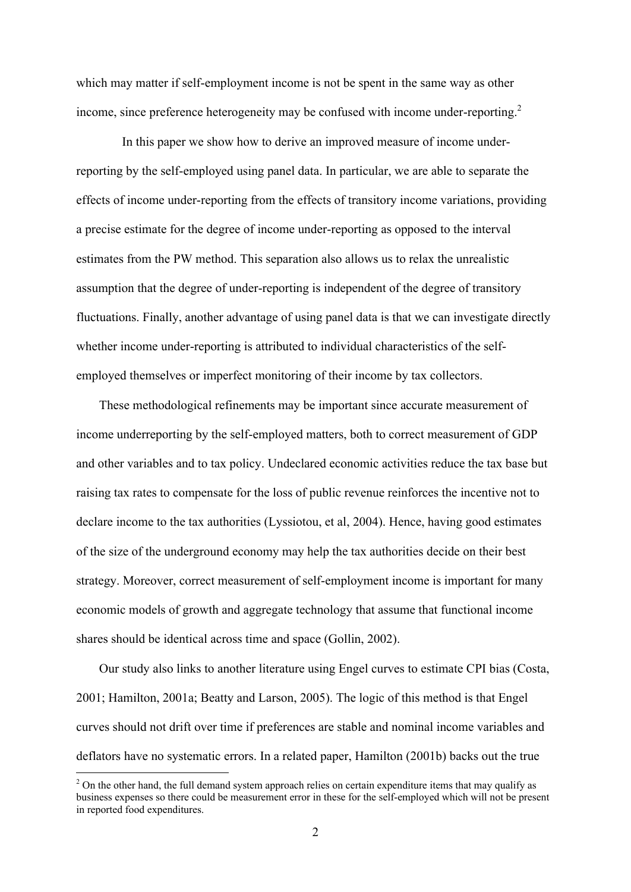which may matter if self-employment income is not be spent in the same way as other income, since preference heterogeneity may be confused with income under-reporting.<sup>2</sup>

In this paper we show how to derive an improved measure of income underreporting by the self-employed using panel data. In particular, we are able to separate the effects of income under-reporting from the effects of transitory income variations, providing a precise estimate for the degree of income under-reporting as opposed to the interval estimates from the PW method. This separation also allows us to relax the unrealistic assumption that the degree of under-reporting is independent of the degree of transitory fluctuations. Finally, another advantage of using panel data is that we can investigate directly whether income under-reporting is attributed to individual characteristics of the selfemployed themselves or imperfect monitoring of their income by tax collectors.

These methodological refinements may be important since accurate measurement of income underreporting by the self-employed matters, both to correct measurement of GDP and other variables and to tax policy. Undeclared economic activities reduce the tax base but raising tax rates to compensate for the loss of public revenue reinforces the incentive not to declare income to the tax authorities (Lyssiotou, et al, 2004). Hence, having good estimates of the size of the underground economy may help the tax authorities decide on their best strategy. Moreover, correct measurement of self-employment income is important for many economic models of growth and aggregate technology that assume that functional income shares should be identical across time and space (Gollin, 2002).

Our study also links to another literature using Engel curves to estimate CPI bias (Costa, 2001; Hamilton, 2001a; Beatty and Larson, 2005). The logic of this method is that Engel curves should not drift over time if preferences are stable and nominal income variables and deflators have no systematic errors. In a related paper, Hamilton (2001b) backs out the true

 $\overline{a}$ 

<sup>&</sup>lt;sup>2</sup> On the other hand, the full demand system approach relies on certain expenditure items that may qualify as business expenses so there could be measurement error in these for the self-employed which will not be present in reported food expenditures.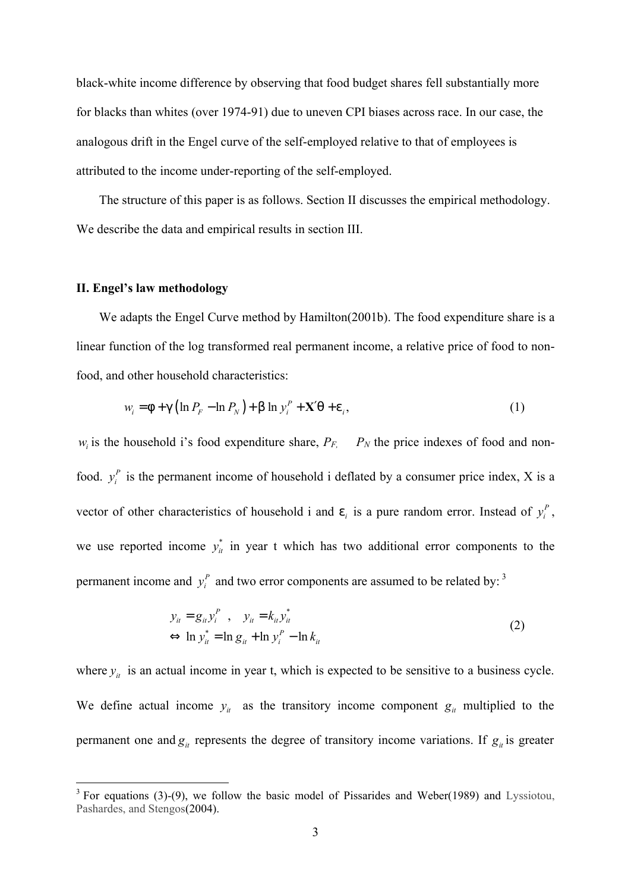black-white income difference by observing that food budget shares fell substantially more for blacks than whites (over 1974-91) due to uneven CPI biases across race. In our case, the analogous drift in the Engel curve of the self-employed relative to that of employees is attributed to the income under-reporting of the self-employed.

The structure of this paper is as follows. Section II discusses the empirical methodology. We describe the data and empirical results in section III.

#### **II. Engel's law methodology**

 $\overline{a}$ 

We adapts the Engel Curve method by Hamilton(2001b). The food expenditure share is a linear function of the log transformed real permanent income, a relative price of food to nonfood, and other household characteristics:

$$
w_i = f + g \left( \ln P_F - \ln P_N \right) + b \ln y_i^P + X' q + e_i, \tag{1}
$$

 $w_i$  is the household i's food expenditure share,  $P_F$ ,  $P_N$  the price indexes of food and nonfood.  $y_i^P$  is the permanent income of household i deflated by a consumer price index, X is a vector of other characteristics of household i and  $e_i$  is a pure random error. Instead of  $y_i^P$ , we use reported income  $y_{it}^*$  in year t which has two additional error components to the permanent income and  $y_i^P$  and two error components are assumed to be related by:  $3$ 

$$
y_{it} = g_{it} y_i^P , y_{it} = k_{it} y_{it}^*
$$
  
\n
$$
\Leftrightarrow \ln y_{it}^* = \ln g_{it} + \ln y_i^P - \ln k_{it}
$$
 (2)

where  $y_{it}$  is an actual income in year t, which is expected to be sensitive to a business cycle. We define actual income  $y_i$  as the transitory income component  $g_i$  multiplied to the permanent one and  $g_{ii}$  represents the degree of transitory income variations. If  $g_{ii}$  is greater

 $3$  For equations (3)-(9), we follow the basic model of Pissarides and Weber(1989) and Lyssiotou, Pashardes, and Stengos(2004).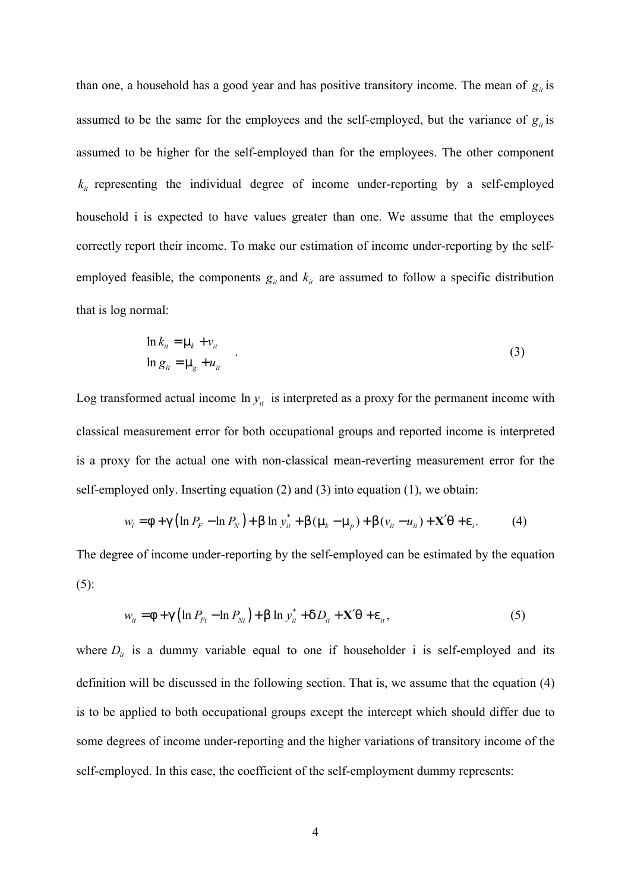than one, a household has a good year and has positive transitory income. The mean of  $g_{\mu}$  is assumed to be the same for the employees and the self-employed, but the variance of  $g_{ii}$  is assumed to be higher for the self-employed than for the employees. The other component  $k_{it}$  representing the individual degree of income under-reporting by a self-employed household i is expected to have values greater than one. We assume that the employees correctly report their income. To make our estimation of income under-reporting by the selfemployed feasible, the components  $g_{ii}$  and  $k_{ii}$  are assumed to follow a specific distribution that is log normal:

$$
\ln k_{it} = m_k + v_{it}
$$
  

$$
\ln g_{it} = m_g + u_{it}
$$
 (3)

Log transformed actual income  $\ln y_i$  is interpreted as a proxy for the permanent income with classical measurement error for both occupational groups and reported income is interpreted is a proxy for the actual one with non-classical mean-reverting measurement error for the self-employed only. Inserting equation (2) and (3) into equation (1), we obtain:

$$
w_i = f + g \left( \ln P_F - \ln P_N \right) + b \ln y_{it}^* + b (m_k - m_p) + b (v_{it} - u_{it}) + X' q + e_i.
$$
 (4)

The degree of income under-reporting by the self-employed can be estimated by the equation (5):

$$
w_{it} = f + g \left( \ln P_{Ft} - \ln P_{Nt} \right) + b \ln y_{it}^* + dD_{it} + X'q + e_{it},
$$
\n(5)

where  $D_i$  is a dummy variable equal to one if householder i is self-employed and its definition will be discussed in the following section. That is, we assume that the equation (4) is to be applied to both occupational groups except the intercept which should differ due to some degrees of income under-reporting and the higher variations of transitory income of the self-employed. In this case, the coefficient of the self-employment dummy represents: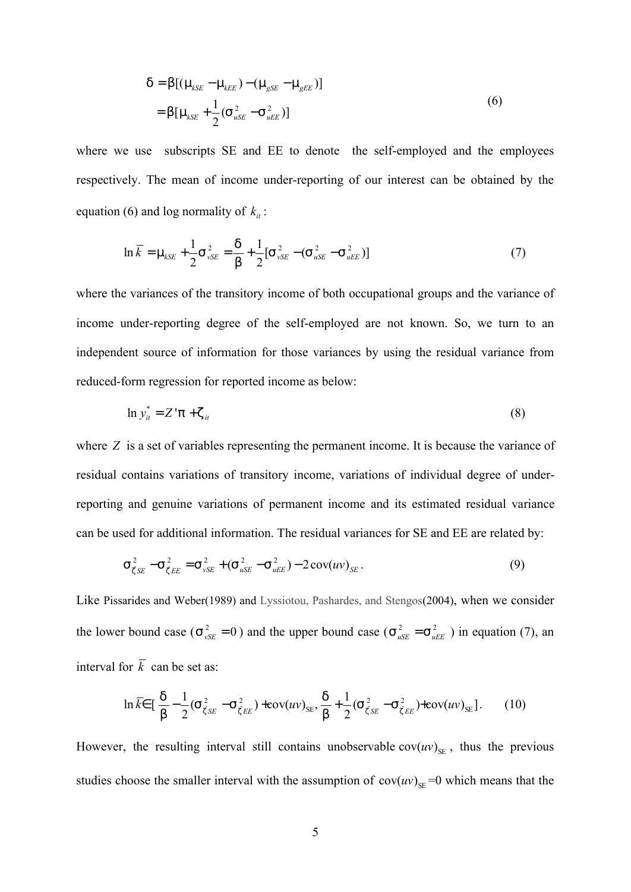$$
d = b [(m_{kSE} - m_{kEE}) - (m_{gSE} - m_{gEE})]
$$
  
=  $b [m_{kSE} + \frac{1}{2} (S_{uSE}^2 - S_{uEE}^2)]$  (6)

where we use subscripts SE and EE to denote the self-employed and the employees respectively. The mean of income under-reporting of our interest can be obtained by the equation (6) and log normality of  $k<sub>i</sub>$ :

$$
\ln \overline{k} = \mathsf{m}_{kSE} + \frac{1}{2} \mathsf{S}_{vSE}^2 = \frac{\mathsf{d}}{\mathsf{b}} + \frac{1}{2} [\mathsf{S}_{vSE}^2 - (\mathsf{S}_{uSE}^2 - \mathsf{S}_{uEE}^2)] \tag{7}
$$

where the variances of the transitory income of both occupational groups and the variance of income under-reporting degree of the self-employed are not known. So, we turn to an independent source of information for those variances by using the residual variance from reduced-form regression for reported income as below:

$$
\ln y_{it}^* = Z' \mathsf{p} + \mathsf{z}_{it} \tag{8}
$$

where *Z* is a set of variables representing the permanent income. It is because the variance of residual contains variations of transitory income, variations of individual degree of underreporting and genuine variations of permanent income and its estimated residual variance can be used for additional information. The residual variances for SE and EE are related by:

$$
S_{\hat{z}SE}^2 - S_{\hat{z}EE}^2 = S_{\hat{v}SE}^2 + (S_{\hat{u}SE}^2 - S_{\hat{u}EE}^2) - 2\operatorname{cov}(uv)_{SE}.
$$
\n(9)

Like Pissarides and Weber(1989) and Lyssiotou, Pashardes, and Stengos(2004), when we consider the lower bound case ( $S_{vSE}^2 = 0$ ) and the upper bound case ( $S_{uSE}^2 = S_{uEE}^2$ ) in equation (7), an interval for  $\overline{k}$  can be set as:

$$
\ln \bar{k} \in \left[\frac{d}{b} - \frac{1}{2} (s_{\hat{z}SE}^2 - s_{\hat{z}EE}^2) + cov(uv)_{SE}, \frac{d}{b} + \frac{1}{2} (s_{\hat{z}SE}^2 - s_{\hat{z}EE}^2) + cov(uv)_{SE}\right].
$$
 (10)

However, the resulting interval still contains unobservable  $cov(uv)_{SE}$ , thus the previous studies choose the smaller interval with the assumption of  $cov(uv)_{SE} = 0$  which means that the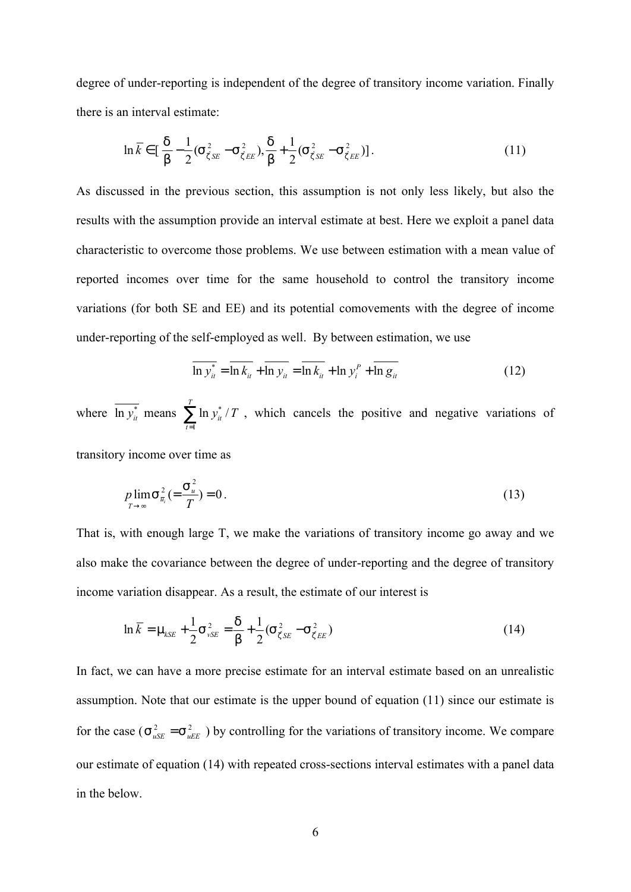degree of under-reporting is independent of the degree of transitory income variation. Finally there is an interval estimate:

$$
\ln \overline{k} \in \left[\frac{d}{b} - \frac{1}{2} (s_{\hat{z}SE}^2 - s_{\hat{z}EE}^2), \frac{d}{b} + \frac{1}{2} (s_{\hat{z}SE}^2 - s_{\hat{z}EE}^2)\right].
$$
 (11)

As discussed in the previous section, this assumption is not only less likely, but also the results with the assumption provide an interval estimate at best. Here we exploit a panel data characteristic to overcome those problems. We use between estimation with a mean value of reported incomes over time for the same household to control the transitory income variations (for both SE and EE) and its potential comovements with the degree of income under-reporting of the self-employed as well. By between estimation, we use

$$
\overline{\ln y_{it}^*} = \overline{\ln k_{it}} + \overline{\ln y_{it}} = \overline{\ln k_{it}} + \ln y_i^P + \overline{\ln g_{it}}
$$
 (12)

where  $\ln y_{it}^*$  means  $\sum \ln y_{it}^*$ 1  $\ln y_{it}^*$  / *T it t*  $y_{it}^*/T$  $\sum_{t=1}$  ln  $y_{it}^*/T$ , which cancels the positive and negative variations of

transitory income over time as

$$
p_{\lim_{T \to \infty}}^{\lim_{n \to \infty}} \frac{1}{x^n} = 0.
$$
\n(13)

That is, with enough large T, we make the variations of transitory income go away and we also make the covariance between the degree of under-reporting and the degree of transitory income variation disappear. As a result, the estimate of our interest is

$$
\ln \overline{k} = \mathsf{m}_{kSE} + \frac{1}{2} \mathsf{S}_{vSE}^2 = \frac{\mathsf{d}}{\mathsf{b}} + \frac{1}{2} (\mathsf{S}_{\hat{z}SE}^2 - \mathsf{S}_{\hat{z}EE}^2)
$$
(14)

In fact, we can have a more precise estimate for an interval estimate based on an unrealistic assumption. Note that our estimate is the upper bound of equation (11) since our estimate is for the case ( $S_{uSE}^2 = S_{uEE}^2$ ) by controlling for the variations of transitory income. We compare our estimate of equation (14) with repeated cross-sections interval estimates with a panel data in the below.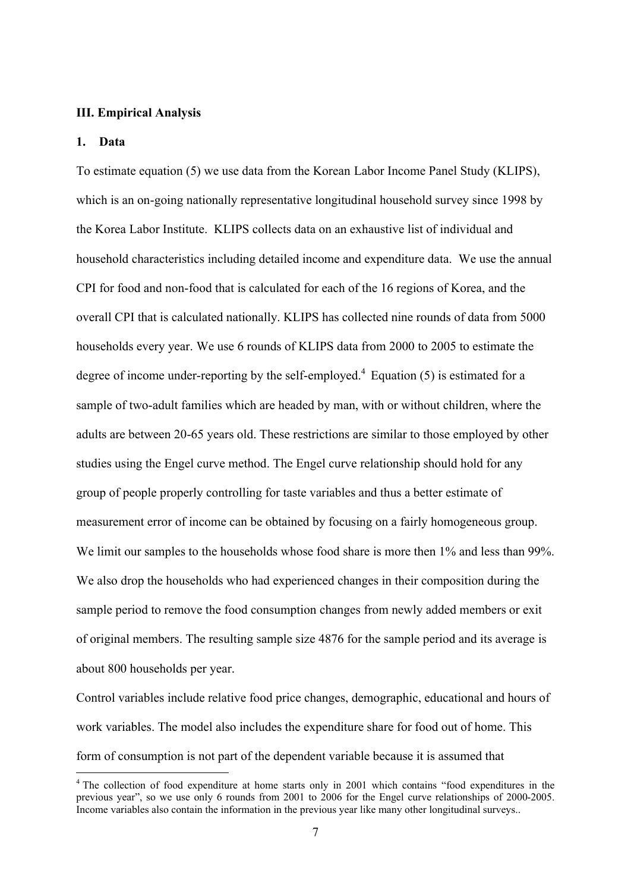## **III. Empirical Analysis**

## **1. Data**

 $\overline{a}$ 

To estimate equation (5) we use data from the Korean Labor Income Panel Study (KLIPS), which is an on-going nationally representative longitudinal household survey since 1998 by the Korea Labor Institute. KLIPS collects data on an exhaustive list of individual and household characteristics including detailed income and expenditure data. We use the annual CPI for food and non-food that is calculated for each of the 16 regions of Korea, and the overall CPI that is calculated nationally. KLIPS has collected nine rounds of data from 5000 households every year. We use 6 rounds of KLIPS data from 2000 to 2005 to estimate the degree of income under-reporting by the self-employed.<sup>4</sup> Equation  $(5)$  is estimated for a sample of two-adult families which are headed by man, with or without children, where the adults are between 20-65 years old. These restrictions are similar to those employed by other studies using the Engel curve method. The Engel curve relationship should hold for any group of people properly controlling for taste variables and thus a better estimate of measurement error of income can be obtained by focusing on a fairly homogeneous group. We limit our samples to the households whose food share is more then  $1\%$  and less than 99%. We also drop the households who had experienced changes in their composition during the sample period to remove the food consumption changes from newly added members or exit of original members. The resulting sample size 4876 for the sample period and its average is about 800 households per year.

Control variables include relative food price changes, demographic, educational and hours of work variables. The model also includes the expenditure share for food out of home. This form of consumption is not part of the dependent variable because it is assumed that

<sup>4</sup> The collection of food expenditure at home starts only in 2001 which contains "food expenditures in the previous year", so we use only 6 rounds from 2001 to 2006 for the Engel curve relationships of 2000-2005. Income variables also contain the information in the previous year like many other longitudinal surveys..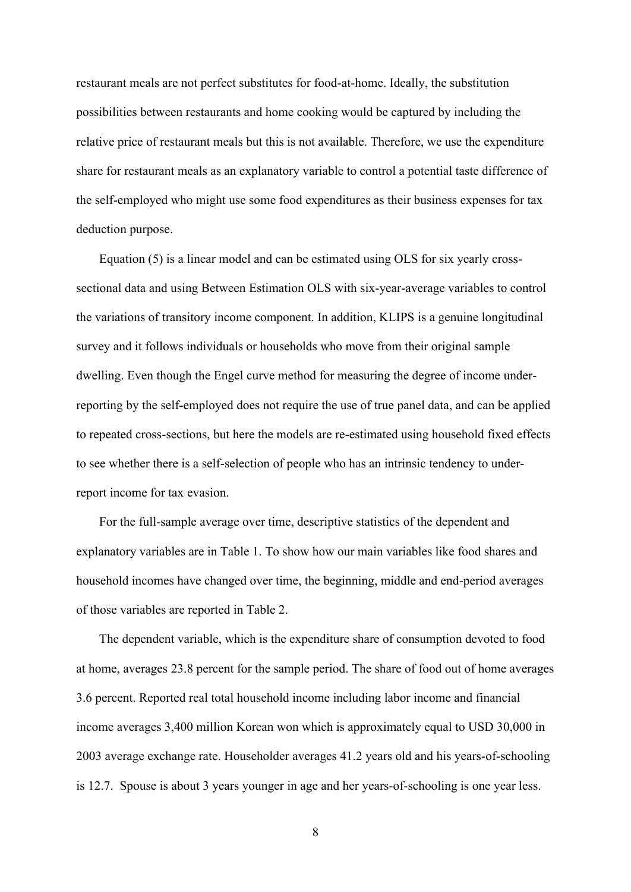restaurant meals are not perfect substitutes for food-at-home. Ideally, the substitution possibilities between restaurants and home cooking would be captured by including the relative price of restaurant meals but this is not available. Therefore, we use the expenditure share for restaurant meals as an explanatory variable to control a potential taste difference of the self-employed who might use some food expenditures as their business expenses for tax deduction purpose.

Equation (5) is a linear model and can be estimated using OLS for six yearly crosssectional data and using Between Estimation OLS with six-year-average variables to control the variations of transitory income component. In addition, KLIPS is a genuine longitudinal survey and it follows individuals or households who move from their original sample dwelling. Even though the Engel curve method for measuring the degree of income underreporting by the self-employed does not require the use of true panel data, and can be applied to repeated cross-sections, but here the models are re-estimated using household fixed effects to see whether there is a self-selection of people who has an intrinsic tendency to underreport income for tax evasion.

For the full-sample average over time, descriptive statistics of the dependent and explanatory variables are in Table 1. To show how our main variables like food shares and household incomes have changed over time, the beginning, middle and end-period averages of those variables are reported in Table 2.

The dependent variable, which is the expenditure share of consumption devoted to food at home, averages 23.8 percent for the sample period. The share of food out of home averages 3.6 percent. Reported real total household income including labor income and financial income averages 3,400 million Korean won which is approximately equal to USD 30,000 in 2003 average exchange rate. Householder averages 41.2 years old and his years-of-schooling is 12.7. Spouse is about 3 years younger in age and her years-of-schooling is one year less.

8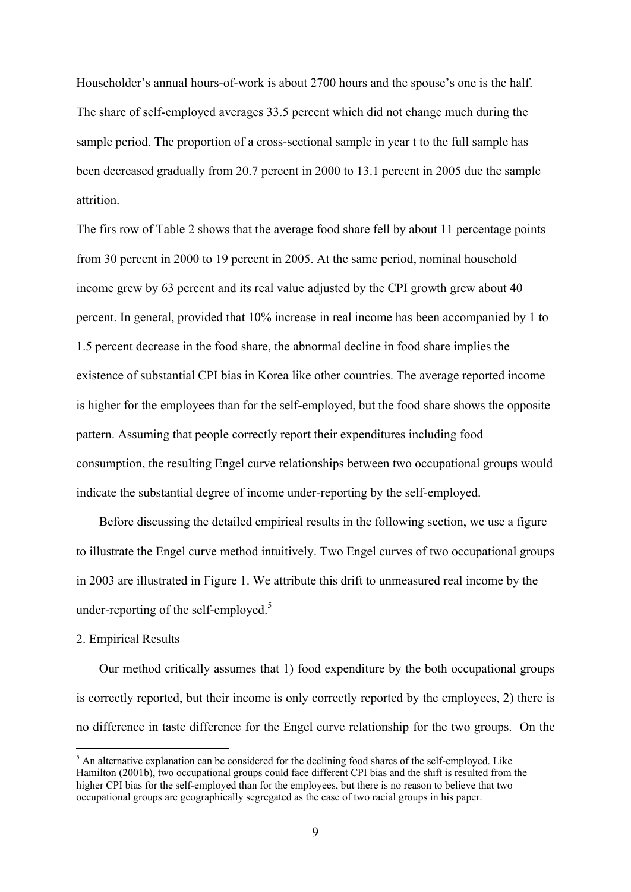Householder's annual hours-of-work is about 2700 hours and the spouse's one is the half. The share of self-employed averages 33.5 percent which did not change much during the sample period. The proportion of a cross-sectional sample in year t to the full sample has been decreased gradually from 20.7 percent in 2000 to 13.1 percent in 2005 due the sample attrition.

The firs row of Table 2 shows that the average food share fell by about 11 percentage points from 30 percent in 2000 to 19 percent in 2005. At the same period, nominal household income grew by 63 percent and its real value adjusted by the CPI growth grew about 40 percent. In general, provided that 10% increase in real income has been accompanied by 1 to 1.5 percent decrease in the food share, the abnormal decline in food share implies the existence of substantial CPI bias in Korea like other countries. The average reported income is higher for the employees than for the self-employed, but the food share shows the opposite pattern. Assuming that people correctly report their expenditures including food consumption, the resulting Engel curve relationships between two occupational groups would indicate the substantial degree of income under-reporting by the self-employed.

Before discussing the detailed empirical results in the following section, we use a figure to illustrate the Engel curve method intuitively. Two Engel curves of two occupational groups in 2003 are illustrated in Figure 1. We attribute this drift to unmeasured real income by the under-reporting of the self-employed.<sup>5</sup>

# 2. Empirical Results

 $\overline{a}$ 

Our method critically assumes that 1) food expenditure by the both occupational groups is correctly reported, but their income is only correctly reported by the employees, 2) there is no difference in taste difference for the Engel curve relationship for the two groups. On the

<sup>&</sup>lt;sup>5</sup> An alternative explanation can be considered for the declining food shares of the self-employed. Like Hamilton (2001b), two occupational groups could face different CPI bias and the shift is resulted from the higher CPI bias for the self-employed than for the employees, but there is no reason to believe that two occupational groups are geographically segregated as the case of two racial groups in his paper.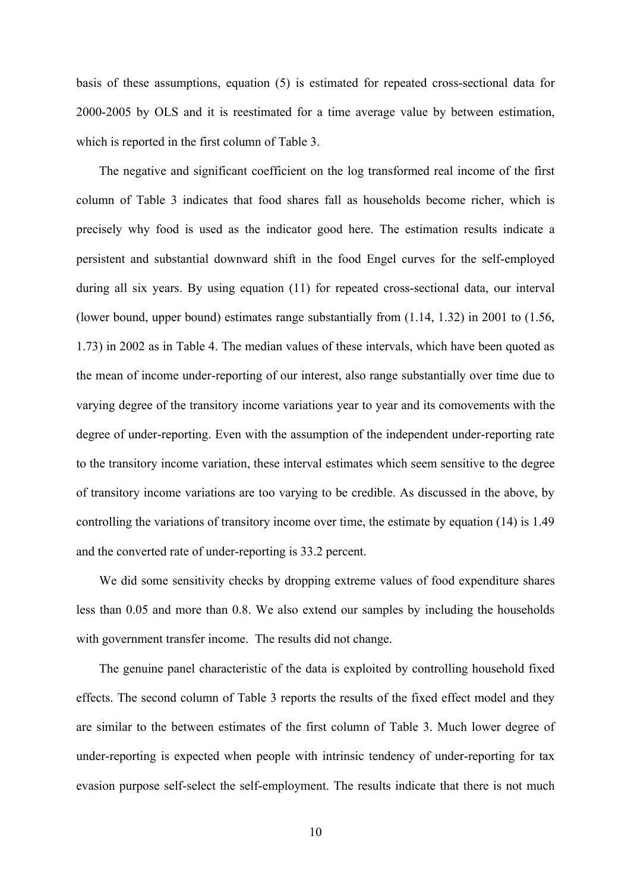basis of these assumptions, equation (5) is estimated for repeated cross-sectional data for 2000-2005 by OLS and it is reestimated for a time average value by between estimation, which is reported in the first column of Table 3.

The negative and significant coefficient on the log transformed real income of the first column of Table 3 indicates that food shares fall as households become richer, which is precisely why food is used as the indicator good here. The estimation results indicate a persistent and substantial downward shift in the food Engel curves for the self-employed during all six years. By using equation (11) for repeated cross-sectional data, our interval (lower bound, upper bound) estimates range substantially from (1.14, 1.32) in 2001 to (1.56, 1.73) in 2002 as in Table 4. The median values of these intervals, which have been quoted as the mean of income under-reporting of our interest, also range substantially over time due to varying degree of the transitory income variations year to year and its comovements with the degree of under-reporting. Even with the assumption of the independent under-reporting rate to the transitory income variation, these interval estimates which seem sensitive to the degree of transitory income variations are too varying to be credible. As discussed in the above, by controlling the variations of transitory income over time, the estimate by equation (14) is 1.49 and the converted rate of under-reporting is 33.2 percent.

We did some sensitivity checks by dropping extreme values of food expenditure shares less than 0.05 and more than 0.8. We also extend our samples by including the households with government transfer income. The results did not change.

The genuine panel characteristic of the data is exploited by controlling household fixed effects. The second column of Table 3 reports the results of the fixed effect model and they are similar to the between estimates of the first column of Table 3. Much lower degree of under-reporting is expected when people with intrinsic tendency of under-reporting for tax evasion purpose self-select the self-employment. The results indicate that there is not much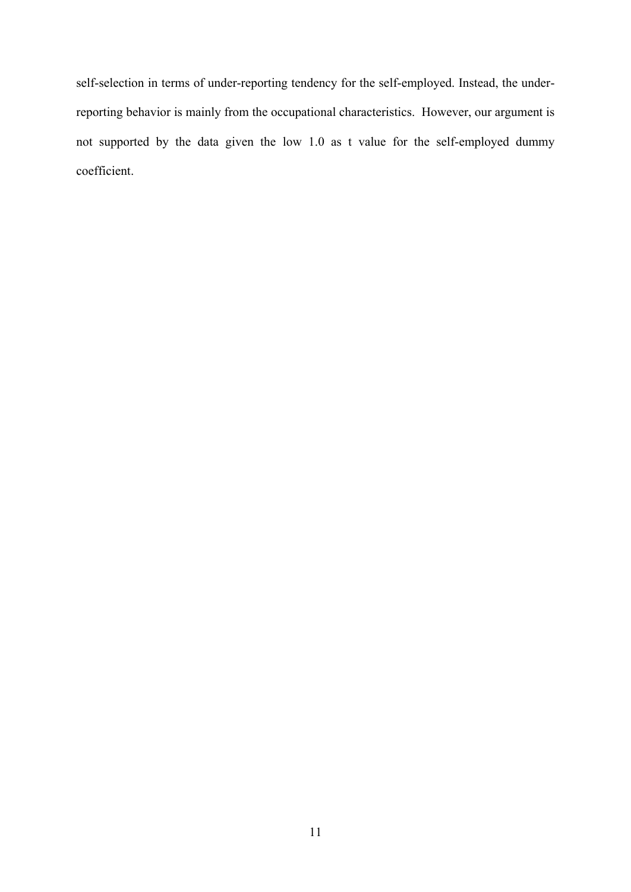self-selection in terms of under-reporting tendency for the self-employed. Instead, the underreporting behavior is mainly from the occupational characteristics. However, our argument is not supported by the data given the low 1.0 as t value for the self-employed dummy coefficient.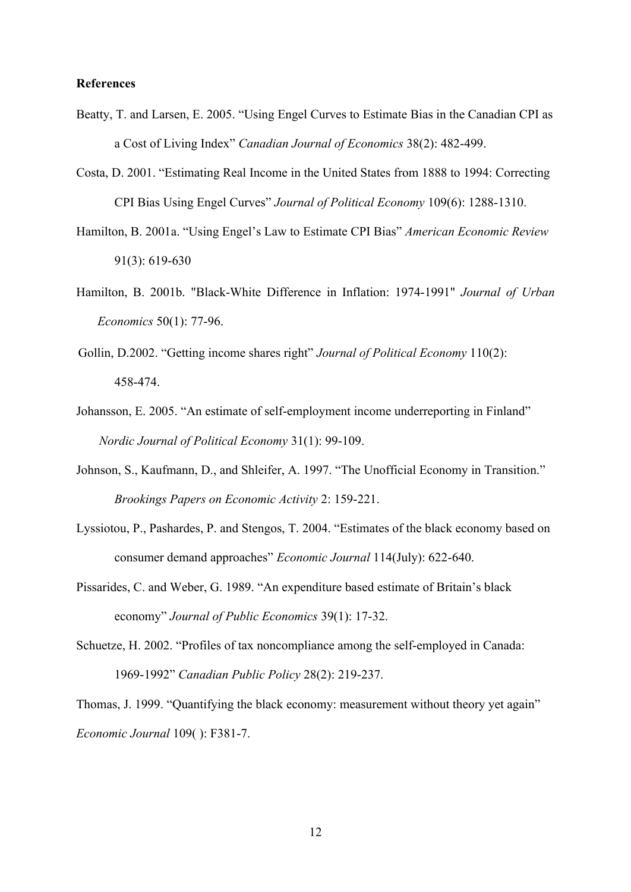# **References**

- Beatty, T. and Larsen, E. 2005. "Using Engel Curves to Estimate Bias in the Canadian CPI as a Cost of Living Index" *Canadian Journal of Economics* 38(2): 482-499.
- Costa, D. 2001. "Estimating Real Income in the United States from 1888 to 1994: Correcting CPI Bias Using Engel Curves" *Journal of Political Economy* 109(6): 1288-1310.
- Hamilton, B. 2001a. "Using Engel's Law to Estimate CPI Bias" *American Economic Review* 91(3): 619-630
- Hamilton, B. 2001b. "Black-White Difference in Inflation: 1974-1991" *Journal of Urban Economics* 50(1): 77-96.
- Gollin, D.2002. "Getting income shares right" *Journal of Political Economy* 110(2): 458-474.
- Johansson, E. 2005. "An estimate of self-employment income underreporting in Finland" *Nordic Journal of Political Economy* 31(1): 99-109.
- Johnson, S., Kaufmann, D., and Shleifer, A. 1997. "The Unofficial Economy in Transition." *Brookings Papers on Economic Activity* 2: 159-221.
- Lyssiotou, P., Pashardes, P. and Stengos, T. 2004. "Estimates of the black economy based on consumer demand approaches" *Economic Journal* 114(July): 622-640.
- Pissarides, C. and Weber, G. 1989. "An expenditure based estimate of Britain's black economy" *Journal of Public Economics* 39(1): 17-32.
- Schuetze, H. 2002. "Profiles of tax noncompliance among the self-employed in Canada: 1969-1992" *Canadian Public Policy* 28(2): 219-237.
- Thomas, J. 1999. "Quantifying the black economy: measurement without theory yet again" *Economic Journal* 109( ): F381-7.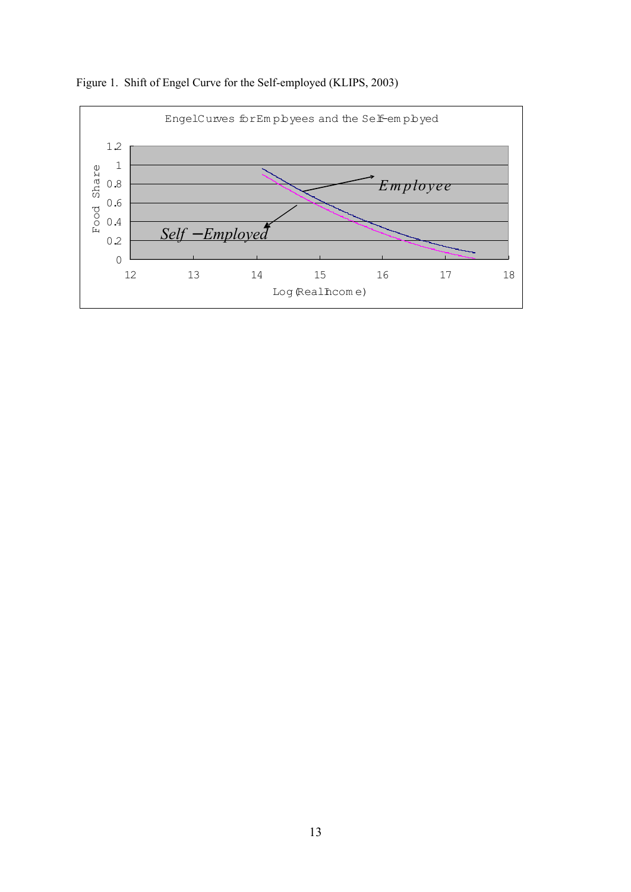

Figure 1. Shift of Engel Curve for the Self-employed (KLIPS, 2003)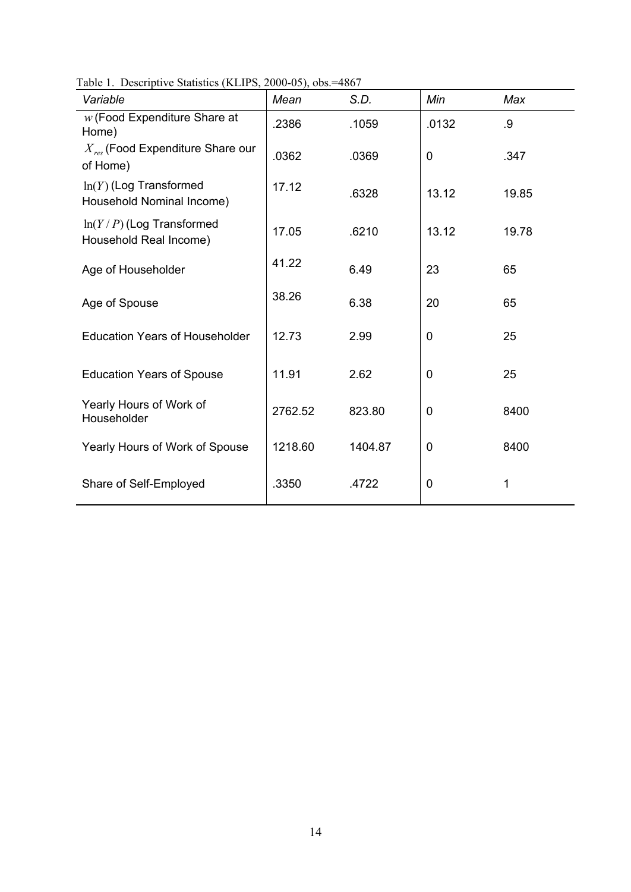|  | Table 1. Descriptive Statistics (KLIPS, 2000-05), obs.=4867 |
|--|-------------------------------------------------------------|
|--|-------------------------------------------------------------|

| Variable                                              | Mean    | S.D.    | Min         | Max   |
|-------------------------------------------------------|---------|---------|-------------|-------|
| $w$ (Food Expenditure Share at<br>Home)               | .2386   | .1059   | .0132       | .9    |
| $X_{res}$ (Food Expenditure Share our<br>of Home)     | .0362   | .0369   | $\mathbf 0$ | .347  |
| $ln(Y)$ (Log Transformed<br>Household Nominal Income) | 17.12   | .6328   | 13.12       | 19.85 |
| $ln(Y/P)$ (Log Transformed<br>Household Real Income)  | 17.05   | .6210   | 13.12       | 19.78 |
| Age of Householder                                    | 41.22   | 6.49    | 23          | 65    |
| Age of Spouse                                         | 38.26   | 6.38    | 20          | 65    |
| <b>Education Years of Householder</b>                 | 12.73   | 2.99    | 0           | 25    |
| <b>Education Years of Spouse</b>                      | 11.91   | 2.62    | 0           | 25    |
| Yearly Hours of Work of<br>Householder                | 2762.52 | 823.80  | 0           | 8400  |
| Yearly Hours of Work of Spouse                        | 1218.60 | 1404.87 | 0           | 8400  |
| Share of Self-Employed                                | .3350   | .4722   | 0           | 1     |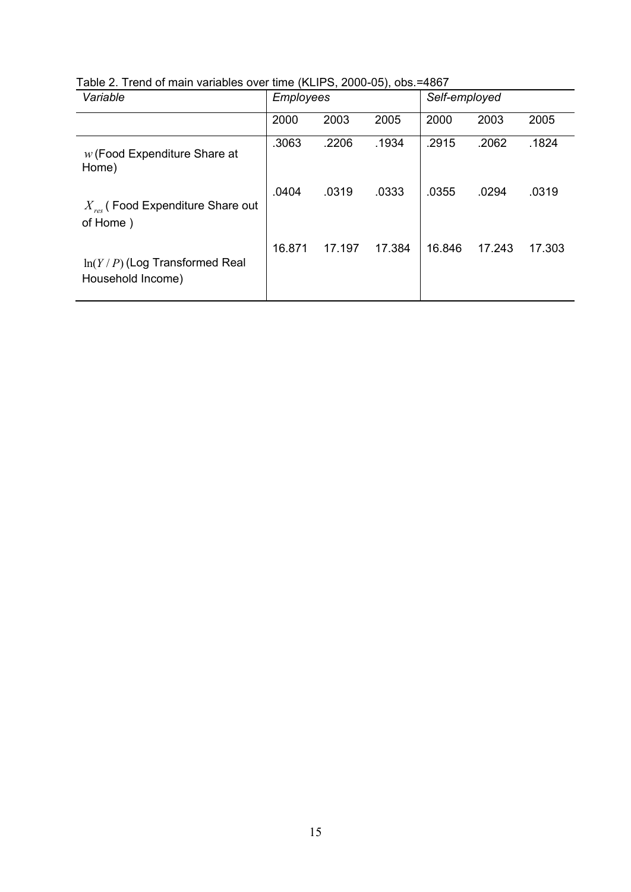| Variable                                             | $1000$ $\mu$ . Then of main variables over time (i.e., $\sigma$ , 2000 00), 000.<br><b>Employees</b> |        |        | Self-employed |        |        |  |
|------------------------------------------------------|------------------------------------------------------------------------------------------------------|--------|--------|---------------|--------|--------|--|
|                                                      | 2000                                                                                                 | 2003   | 2005   | 2000          | 2003   | 2005   |  |
| $w$ (Food Expenditure Share at<br>Home)              | .3063                                                                                                | .2206  | .1934  | .2915         | .2062  | .1824  |  |
| $X_{res}$ (Food Expenditure Share out<br>of Home)    | .0404                                                                                                | .0319  | .0333  | .0355         | .0294  | .0319  |  |
| $ln(Y/P)$ (Log Transformed Real<br>Household Income) | 16.871                                                                                               | 17.197 | 17.384 | 16.846        | 17.243 | 17.303 |  |

Table 2. Trend of main variables over time (KLIPS, 2000-05), obs.=4867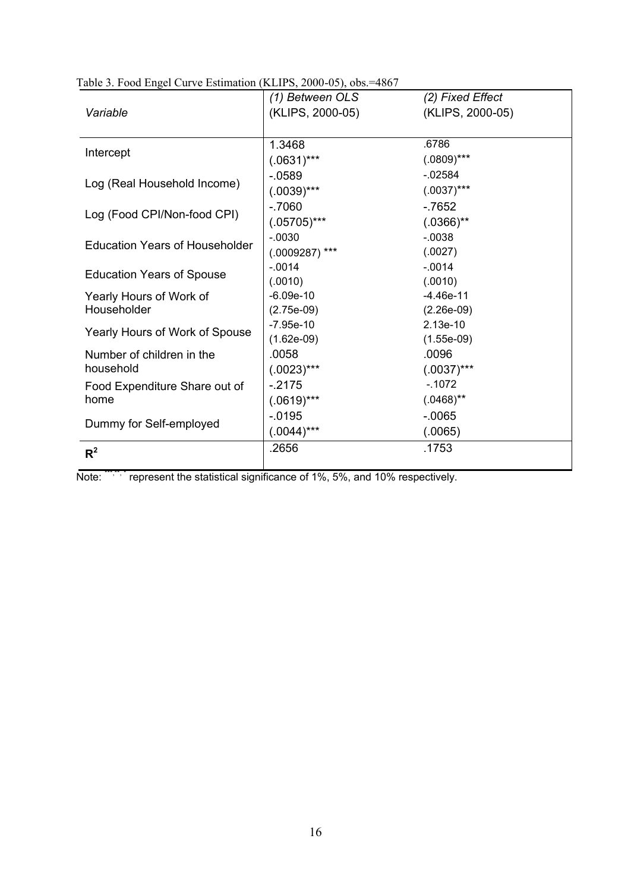|                                       | (1) Between OLS  | (2) Fixed Effect |  |  |
|---------------------------------------|------------------|------------------|--|--|
| Variable                              | (KLIPS, 2000-05) | (KLIPS, 2000-05) |  |  |
|                                       |                  |                  |  |  |
|                                       | 1.3468           | .6786            |  |  |
| Intercept                             | $(.0631)***$     | $(.0809)$ ***    |  |  |
|                                       | $-0.0589$        | $-02584$         |  |  |
| Log (Real Household Income)           | $(.0039)***$     | $(.0037)$ ***    |  |  |
|                                       | $-7060$          | $-7652$          |  |  |
| Log (Food CPI/Non-food CPI)           | $(.05705)***$    | $(.0366)$ **     |  |  |
|                                       | $-0.0030$        | $-0.0038$        |  |  |
| <b>Education Years of Householder</b> | $(.0009287)$ *** | (.0027)          |  |  |
|                                       | $-0.014$         | $-0.014$         |  |  |
| <b>Education Years of Spouse</b>      | (.0010)          | (.0010)          |  |  |
| Yearly Hours of Work of               | $-6.09e-10$      | $-4.46e-11$      |  |  |
| Householder                           | $(2.75e-0.9)$    | $(2.26e-09)$     |  |  |
| Yearly Hours of Work of Spouse        | $-7.95e-10$      | 2.13e-10         |  |  |
|                                       | $(1.62e-09)$     | $(1.55e-09)$     |  |  |
| Number of children in the             | .0058            | .0096            |  |  |
| household                             | $(.0023)***$     | $(.0037)***$     |  |  |
| Food Expenditure Share out of         | $-2175$          | $-1072$          |  |  |
| home                                  | $(.0619)***$     | $(.0468)$ **     |  |  |
| Dummy for Self-employed               | $-0.195$         | $-0.0065$        |  |  |
|                                       | $(.0044)***$     | (.0065)          |  |  |
| $R^2$                                 | .2656            | .1753            |  |  |
|                                       |                  |                  |  |  |

Table 3. Food Engel Curve Estimation (KLIPS, 2000-05), obs.=4867

Note: \*\*\*\*\*\*\*\* represent the statistical significance of 1%, 5%, and 10% respectively.